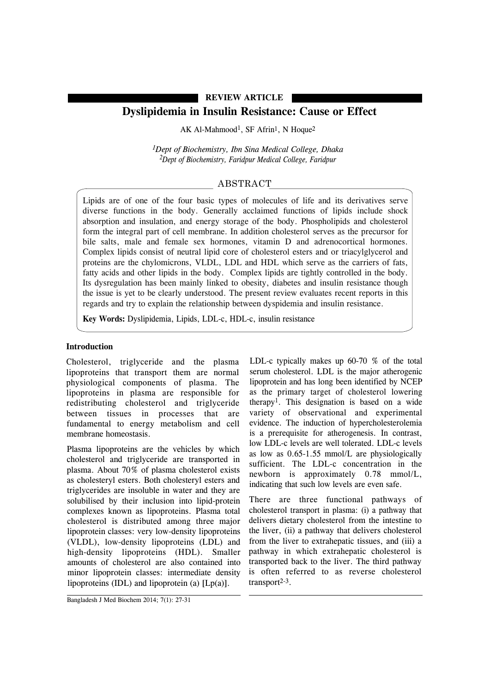# **REVIEW ARTICLE**

# **Dyslipidemia in Insulin Resistance: Cause or Effect**

AK Al-Mahmood<sup>1</sup>, SF Afrin<sup>1</sup>, N Hoque<sup>2</sup>

*1Dept of Biochemistry, Ibn Sina Medical College, Dhaka 2Dept of Biochemistry, Faridpur Medical College, Faridpur*

# ABSTRACT

Lipids are of one of the four basic types of molecules of life and its derivatives serve diverse functions in the body. Generally acclaimed functions of lipids include shock absorption and insulation, and energy storage of the body. Phospholipids and cholesterol form the integral part of cell membrane. In addition cholesterol serves as the precursor for bile salts, male and female sex hormones, vitamin D and adrenocortical hormones. Complex lipids consist of neutral lipid core of cholesterol esters and or triacylglycerol and proteins are the chylomicrons, VLDL, LDL and HDL which serve as the carriers of fats, fatty acids and other lipids in the body. Complex lipids are tightly controlled in the body. Its dysregulation has been mainly linked to obesity, diabetes and insulin resistance though the issue is yet to be clearly understood. The present review evaluates recent reports in this regards and try to explain the relationship between dyspidemia and insulin resistance.

**Key Words:** Dyslipidemia, Lipids, LDL-c, HDL-c, insulin resistance

### **Introduction**

Cholesterol, triglyceride and the plasma lipoproteins that transport them are normal physiological components of plasma. The lipoproteins in plasma are responsible for redistributing cholesterol and triglyceride between tissues in processes that are fundamental to energy metabolism and cell membrane homeostasis.

Plasma lipoproteins are the vehicles by which cholesterol and triglyceride are transported in plasma. About 70% of plasma cholesterol exists as cholesteryl esters. Both cholesteryl esters and triglycerides are insoluble in water and they are solubilised by their inclusion into lipid-protein complexes known as lipoproteins. Plasma total cholesterol is distributed among three major lipoprotein classes: very low-density lipoproteins (VLDL), low-density lipoproteins (LDL) and high-density lipoproteins (HDL). Smaller amounts of cholesterol are also contained into minor lipoprotein classes: intermediate density lipoproteins (IDL) and lipoprotein (a) [Lp(a)].

LDL-c typically makes up 60-70 % of the total serum cholesterol. LDL is the major atherogenic lipoprotein and has long been identified by NCEP as the primary target of cholesterol lowering therapy1. This designation is based on a wide variety of observational and experimental evidence. The induction of hypercholesterolemia is a prerequisite for atherogenesis. In contrast, low LDL-c levels are well tolerated. LDL-c levels as low as 0.65-1.55 mmol/L are physiologically sufficient. The LDL-c concentration in the newborn is approximately 0.78 mmol/L, indicating that such low levels are even safe.

There are three functional pathways of cholesterol transport in plasma: (i) a pathway that delivers dietary cholesterol from the intestine to the liver, (ii) a pathway that delivers cholesterol from the liver to extrahepatic tissues, and (iii) a pathway in which extrahepatic cholesterol is transported back to the liver. The third pathway is often referred to as reverse cholesterol transport $2-3$ .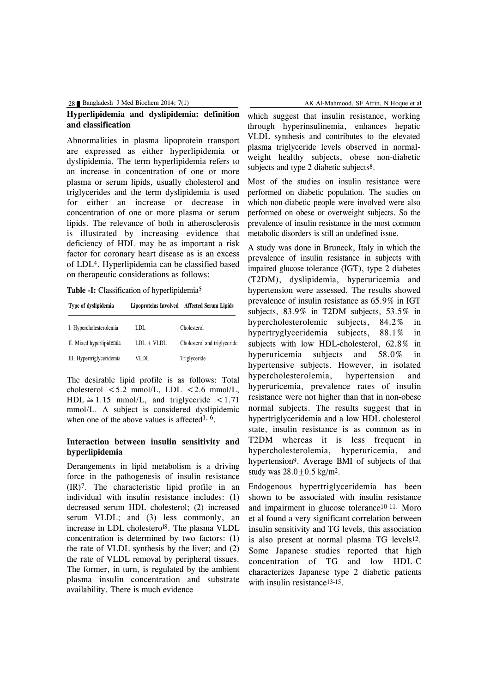28 Bangladesh J Med Biochem 2014; 7(1)

## **Hyperlipidemia and dyslipidemia: definition and classification**

Abnormalities in plasma lipoprotein transport are expressed as either hyperlipidemia or dyslipidemia. The term hyperlipidemia refers to an increase in concentration of one or more plasma or serum lipids, usually cholesterol and triglycerides and the term dyslipidemia is used for either an increase or decrease in concentration of one or more plasma or serum lipids. The relevance of both in atherosclerosis is illustrated by increasing evidence that deficiency of HDL may be as important a risk factor for coronary heart disease as is an excess of LDL4. Hyperlipidemia can be classified based on therapeutic considerations as follows:

**Table -I:** Classification of hyperlipidemia5

| Type of dyslipidemia      |              | Lipoproteins Involved Affected Serum Lipids |
|---------------------------|--------------|---------------------------------------------|
| I. Hypercholesterolemia   | LDL.         | Cholesterol                                 |
| II. Mixed hyperlipidemia  | $LDL + VLDL$ | Cholesterol and triglyceride                |
| III. Hypertriglyceridemia | VLDL         | Triglyceride                                |

The desirable lipid profile is as follows: Total cholesterol  $\leq 5.2$  mmol/L, LDL  $\leq 2.6$  mmol/L,  $HDL \ge 1.15$  mmol/L, and triglyceride <1.71 mmol/L. A subject is considered dyslipidemic when one of the above values is affected<sup>1,  $\overline{6}$ </sup>.

#### **Interaction between insulin sensitivity and hyperlipidemia**

Derangements in lipid metabolism is a driving force in the pathogenesis of insulin resistance (IR)7. The characteristic lipid profile in an individual with insulin resistance includes: (1) decreased serum HDL cholesterol; (2) increased serum VLDL; and (3) less commonly, an increase in LDL cholesterol8. The plasma VLDL concentration is determined by two factors: (1) the rate of VLDL synthesis by the liver; and (2) the rate of VLDL removal by peripheral tissues. The former, in turn, is regulated by the ambient plasma insulin concentration and substrate availability. There is much evidence

which suggest that insulin resistance, working through hyperinsulinemia, enhances hepatic VLDL synthesis and contributes to the elevated plasma triglyceride levels observed in normalweight healthy subjects, obese non-diabetic subjects and type 2 diabetic subjects8.

Most of the studies on insulin resistance were performed on diabetic population. The studies on which non-diabetic people were involved were also performed on obese or overweight subjects. So the prevalence of insulin resistance in the most common metabolic disorders is still an undefined issue.

A study was done in Bruneck, Italy in which the prevalence of insulin resistance in subjects with impaired glucose tolerance (IGT), type 2 diabetes (T2DM), dyslipidemia, hyperuricemia and hypertension were assessed. The results showed prevalence of insulin resistance as 65.9% in IGT subjects, 83.9% in T2DM subjects, 53.5% in hypercholesterolemic subjects, 84.2% in hypertryglyceridemia subjects, 88.1% in subjects with low HDL-cholesterol, 62.8% in hyperuricemia subjects and 58.0% in hypertensive subjects. However, in isolated hypercholesterolemia, hypertension and hyperuricemia, prevalence rates of insulin resistance were not higher than that in non-obese normal subjects. The results suggest that in hypertriglyceridemia and a low HDL cholesterol state, insulin resistance is as common as in T2DM whereas it is less frequent in hypercholesterolemia, hyperuricemia, and hypertension9. Average BMI of subjects of that study was  $28.0 + 0.5$  kg/m<sup>2</sup>.

Endogenous hypertriglyceridemia has been shown to be associated with insulin resistance and impairment in glucose tolerance10-11. Moro et al found a very significant correlation between insulin sensitivity and TG levels, this association is also present at normal plasma TG levels12. Some Japanese studies reported that high concentration of TG and low HDL-C characterizes Japanese type 2 diabetic patients with insulin resistance<sup>13-15</sup>.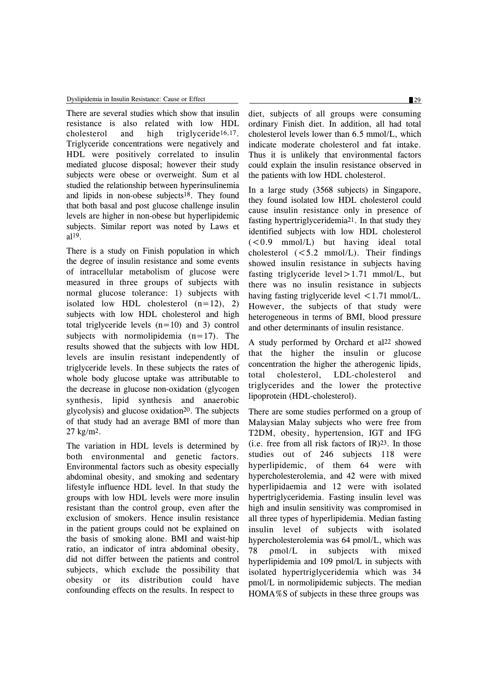There are several studies which show that insulin resistance is also related with low HDL cholesterol and high triglyceride16,17. Triglyceride concentrations were negatively and HDL were positively correlated to insulin mediated glucose disposal; however their study subjects were obese or overweight. Sum et al studied the relationship between hyperinsulinemia and lipids in non-obese subjects18. They found that both basal and post glucose challenge insulin levels are higher in non-obese but hyperlipidemic subjects. Similar report was noted by Laws et al19.

There is a study on Finish population in which the degree of insulin resistance and some events of intracellular metabolism of glucose were measured in three groups of subjects with normal glucose tolerance: 1) subjects with isolated low HDL cholesterol  $(n=12)$ , 2) subjects with low HDL cholesterol and high total triglyceride levels  $(n=10)$  and 3) control subjects with normolipidemia  $(n=17)$ . The results showed that the subjects with low HDL levels are insulin resistant independently of triglyceride levels. In these subjects the rates of whole body glucose uptake was attributable to the decrease in glucose non-oxidation (glycogen synthesis, lipid synthesis and anaerobic glycolysis) and glucose oxidation20. The subjects of that study had an average BMI of more than 27 kg/m2.

The variation in HDL levels is determined by both environmental and genetic factors. Environmental factors such as obesity especially abdominal obesity, and smoking and sedentary lifestyle influence HDL level. In that study the groups with low HDL levels were more insulin resistant than the control group, even after the exclusion of smokers. Hence insulin resistance in the patient groups could not be explained on the basis of smoking alone. BMI and waist-hip ratio, an indicator of intra abdominal obesity, did not differ between the patients and control subjects, which exclude the possibility that obesity or its distribution could have confounding effects on the results. In respect to

diet, subjects of all groups were consuming ordinary Finish diet. In addition, all had total cholesterol levels lower than 6.5 mmol/L, which indicate moderate cholesterol and fat intake. Thus it is unlikely that environmental factors could explain the insulin resistance observed in the patients with low HDL cholesterol.

In a large study (3568 subjects) in Singapore, they found isolated low HDL cholesterol could cause insulin resistance only in presence of fasting hypertriglyceridemia21. In that study they identified subjects with low HDL cholesterol  $(<0.9$  mmol/L) but having ideal total cholesterol  $(<5.2$  mmol/L). Their findings showed insulin resistance in subjects having fasting triglyceride level $>1.71$  mmol/L, but there was no insulin resistance in subjects having fasting triglyceride level  $\leq 1.71$  mmol/L. However, the subjects of that study were heterogeneous in terms of BMI, blood pressure and other determinants of insulin resistance.

A study performed by Orchard et al22 showed that the higher the insulin or glucose concentration the higher the atherogenic lipids, total cholesterol, LDL-cholesterol and triglycerides and the lower the protective lipoprotein (HDL-cholesterol).

There are some studies performed on a group of Malaysian Malay subjects who were free from T2DM, obesity, hypertension, IGT and IFG (i.e. free from all risk factors of  $IR$ )<sup>23</sup>. In those studies out of 246 subjects 118 were hyperlipidemic, of them 64 were with hypercholesterolemia, and 42 were with mixed hyperlipidaemia and 12 were with isolated hypertriglyceridemia. Fasting insulin level was high and insulin sensitivity was compromised in all three types of hyperlipidemia. Median fasting insulin level of subjects with isolated hypercholesterolemia was 64 pmol/L, which was 78 ρmol/L in subjects with mixed hyperlipidemia and 109 pmol/L in subjects with isolated hypertriglyceridemia which was 34 pmol/L in normolipidemic subjects. The median HOMA%S of subjects in these three groups was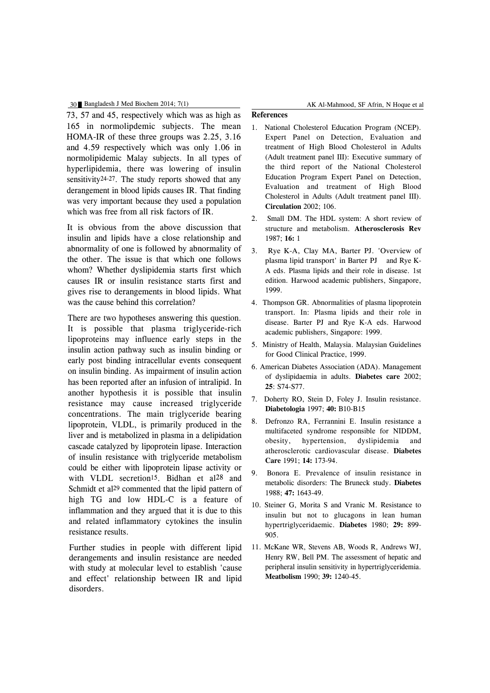#### 30 Bangladesh J Med Biochem 2014; 7(1) AK Al-Mahmood, SF Afrin, N Hoque et al

73, 57 and 45, respectively which was as high as 165 in normolipdemic subjects. The mean HOMA-IR of these three groups was 2.25, 3.16 and 4.59 respectively which was only 1.06 in normolipidemic Malay subjects. In all types of hyperlipidemia, there was lowering of insulin sensitivity24-27. The study reports showed that any derangement in blood lipids causes IR. That finding was very important because they used a population which was free from all risk factors of IR.

It is obvious from the above discussion that insulin and lipids have a close relationship and abnormality of one is followed by abnormality of the other. The issue is that which one follows whom? Whether dyslipidemia starts first which causes IR or insulin resistance starts first and gives rise to derangements in blood lipids. What was the cause behind this correlation?

There are two hypotheses answering this question. It is possible that plasma triglyceride-rich lipoproteins may influence early steps in the insulin action pathway such as insulin binding or early post binding intracellular events consequent on insulin binding. As impairment of insulin action has been reported after an infusion of intralipid. In another hypothesis it is possible that insulin resistance may cause increased triglyceride concentrations. The main triglyceride bearing lipoprotein, VLDL, is primarily produced in the liver and is metabolized in plasma in a delipidation cascade catalyzed by lipoprotein lipase. Interaction of insulin resistance with triglyceride metabolism could be either with lipoprotein lipase activity or with VLDL secretion<sup>15</sup>. Bidhan et al<sup>28</sup> and Schmidt et al<sup>29</sup> commented that the lipid pattern of high TG and low HDL-C is a feature of inflammation and they argued that it is due to this and related inflammatory cytokines the insulin resistance results.

Further studies in people with different lipid derangements and insulin resistance are needed with study at molecular level to establish 'cause and effect' relationship between IR and lipid disorders.

### **References**

- 1. National Cholesterol Education Program (NCEP). Expert Panel on Detection, Evaluation and treatment of High Blood Cholesterol in Adults (Adult treatment panel III): Executive summary of the third report of the National Cholesterol Education Program Expert Panel on Detection, Evaluation and treatment of High Blood Cholesterol in Adults (Adult treatment panel III). **Circulation** 2002; 106.
- 2. Small DM. The HDL system: A short review of structure and metabolism. **Atherosclerosis Rev** 1987; **16:** 1
- 3. Rye K-A, Clay MA, Barter PJ. 'Overview of plasma lipid transport' in Barter PJ and Rye K-A eds. Plasma lipids and their role in disease. 1st edition. Harwood academic publishers, Singapore, 1999.
- 4. Thompson GR. Abnormalities of plasma lipoprotein transport. In: Plasma lipids and their role in disease. Barter PJ and Rye K-A eds. Harwood academic publishers, Singapore: 1999.
- 5. Ministry of Health, Malaysia. Malaysian Guidelines for Good Clinical Practice, 1999.
- 6. American Diabetes Association (ADA). Management of dyslipidaemia in adults. **Diabetes care** 2002; **25**: S74-S77.
- 7. Doherty RO, Stein D, Foley J. Insulin resistance. **Diabetologia** 1997; **40:** B10-B15
- 8. Defronzo RA, Ferrannini E. Insulin resistance a multifaceted syndrome responsible for NIDDM, obesity, hypertension, dyslipidemia and atherosclerotic cardiovascular disease. **Diabetes Care** 1991; **14:** 173-94.
- 9. Bonora E. Prevalence of insulin resistance in metabolic disorders: The Bruneck study. **Diabetes** 1988; **47:** 1643-49.
- 10. Steiner G, Morita S and Vranic M. Resistance to insulin but not to glucagons in lean human hypertriglyceridaemic. **Diabetes** 1980; **29:** 899- 905.
- 11. McKane WR, Stevens AB, Woods R, Andrews WJ, Henry RW, Bell PM. The assessment of hepatic and peripheral insulin sensitivity in hypertriglyceridemia. **Meatbolism** 1990; **39:** 1240-45.